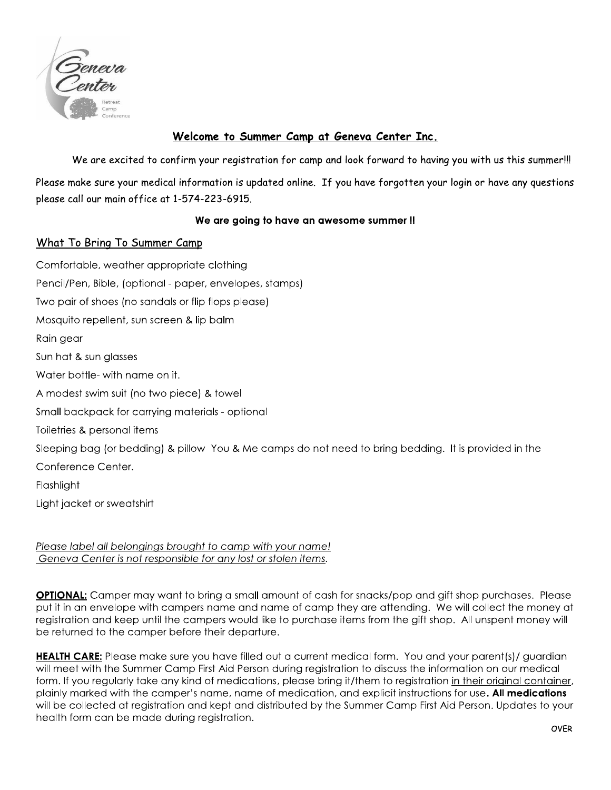

## Welcome to Summer Camp at Geneva Center Inc.

We are excited to confirm your registration for camp and look forward to having you with us this summer!!!

Please make sure your medical information is updated online. If you have forgotten your login or have any questions please call our main office at 1-574-223-6915.

## We are going to have an awesome summer!!

## What To Bring To Summer Camp

Comfortable, weather appropriate clothing Pencil/Pen, Bible, (optional - paper, envelopes, stamps) Two pair of shoes (no sandals or flip flops please) Mosquito repellent, sun screen & lip balm Rain gear Sun hat & sun glasses Water bottle- with name on it. A modest swim suit (no two piece) & towel Small backpack for carrying materials - optional Toiletries & personal items Sleeping bag (or bedding) & pillow You & Me camps do not need to bring bedding. It is provided in the Conference Center. Flashlight Light jacket or sweatshirt

Please label all belongings brought to camp with your name! Geneva Center is not responsible for any lost or stolen items.

**OPTIONAL:** Camper may want to bring a small amount of cash for snacks/pop and gift shop purchases. Please put it in an envelope with campers name and name of camp they are attending. We will collect the money at registration and keep until the campers would like to purchase items from the gift shop. All unspent money will be returned to the camper before their departure.

HEALTH CARE: Please make sure you have filled out a current medical form. You and your parent(s)/ guardian will meet with the Summer Camp First Aid Person during registration to discuss the information on our medical form. If you regularly take any kind of medications, please bring it/them to registration in their original container, plainly marked with the camper's name, name of medication, and explicit instructions for use. All medications will be collected at registration and kept and distributed by the Summer Camp First Aid Person. Updates to your health form can be made during registration.